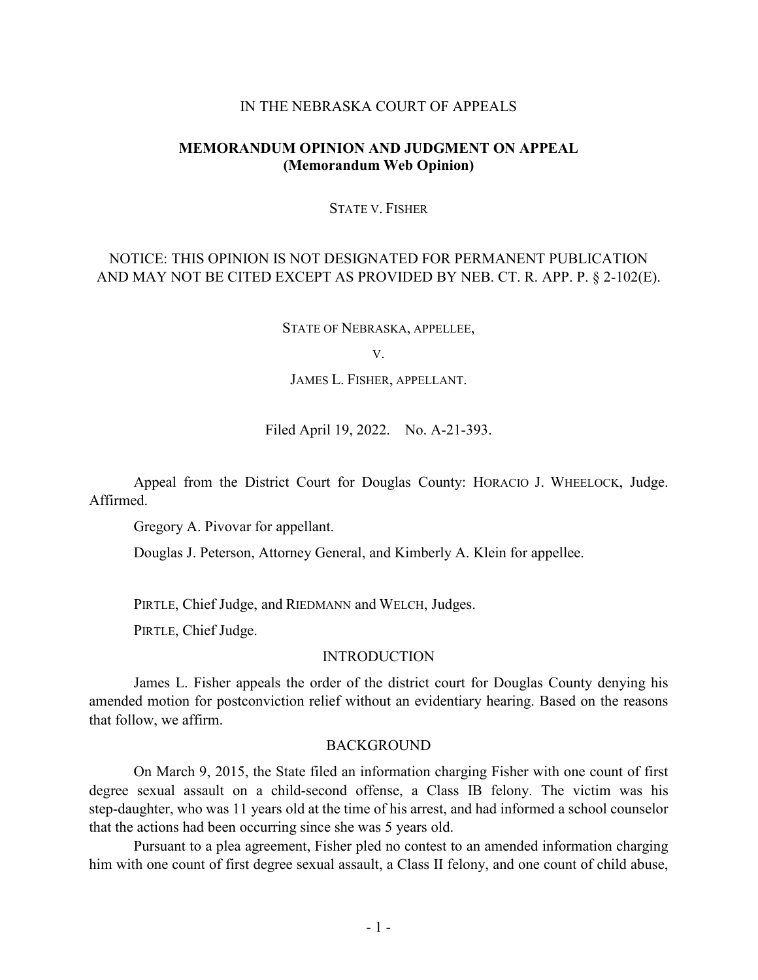#### IN THE NEBRASKA COURT OF APPEALS

## **MEMORANDUM OPINION AND JUDGMENT ON APPEAL (Memorandum Web Opinion)**

#### STATE V. FISHER

# NOTICE: THIS OPINION IS NOT DESIGNATED FOR PERMANENT PUBLICATION AND MAY NOT BE CITED EXCEPT AS PROVIDED BY NEB. CT. R. APP. P. § 2-102(E).

STATE OF NEBRASKA, APPELLEE,

V.

JAMES L. FISHER, APPELLANT.

Filed April 19, 2022. No. A-21-393.

Appeal from the District Court for Douglas County: HORACIO J. WHEELOCK, Judge. Affirmed.

Gregory A. Pivovar for appellant.

Douglas J. Peterson, Attorney General, and Kimberly A. Klein for appellee.

PIRTLE, Chief Judge, and RIEDMANN and WELCH, Judges.

PIRTLE, Chief Judge.

#### INTRODUCTION

James L. Fisher appeals the order of the district court for Douglas County denying his amended motion for postconviction relief without an evidentiary hearing. Based on the reasons that follow, we affirm.

#### BACKGROUND

On March 9, 2015, the State filed an information charging Fisher with one count of first degree sexual assault on a child-second offense, a Class IB felony. The victim was his step-daughter, who was 11 years old at the time of his arrest, and had informed a school counselor that the actions had been occurring since she was 5 years old.

Pursuant to a plea agreement, Fisher pled no contest to an amended information charging him with one count of first degree sexual assault, a Class II felony, and one count of child abuse,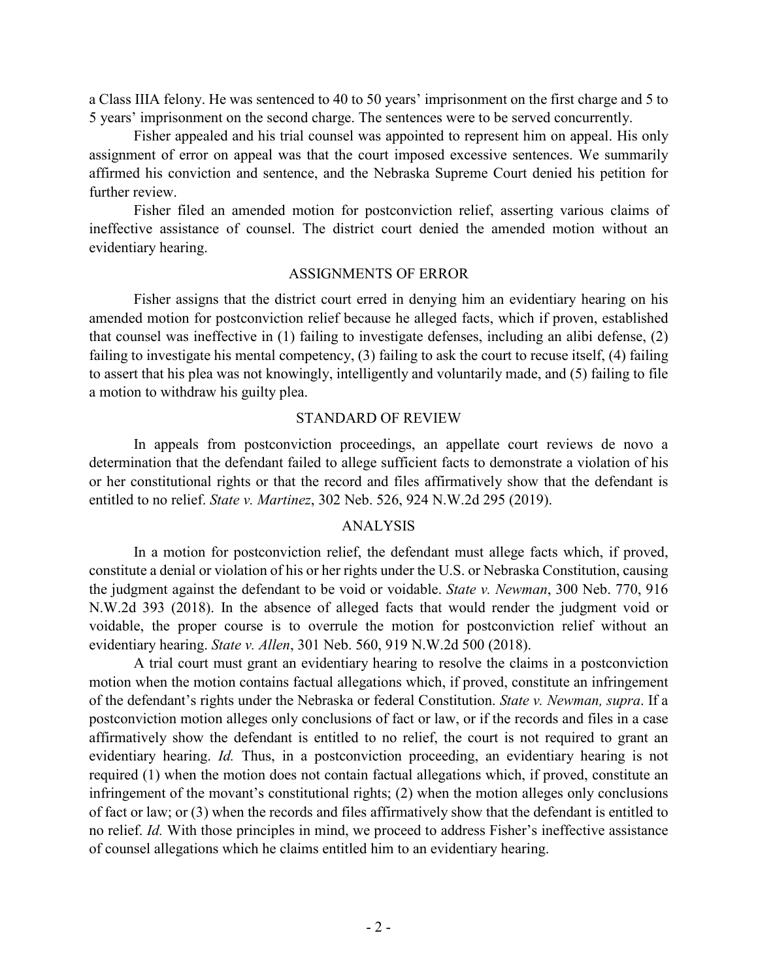a Class IIIA felony. He was sentenced to 40 to 50 years' imprisonment on the first charge and 5 to 5 years' imprisonment on the second charge. The sentences were to be served concurrently.

Fisher appealed and his trial counsel was appointed to represent him on appeal. His only assignment of error on appeal was that the court imposed excessive sentences. We summarily affirmed his conviction and sentence, and the Nebraska Supreme Court denied his petition for further review.

Fisher filed an amended motion for postconviction relief, asserting various claims of ineffective assistance of counsel. The district court denied the amended motion without an evidentiary hearing.

### ASSIGNMENTS OF ERROR

Fisher assigns that the district court erred in denying him an evidentiary hearing on his amended motion for postconviction relief because he alleged facts, which if proven, established that counsel was ineffective in (1) failing to investigate defenses, including an alibi defense, (2) failing to investigate his mental competency, (3) failing to ask the court to recuse itself, (4) failing to assert that his plea was not knowingly, intelligently and voluntarily made, and (5) failing to file a motion to withdraw his guilty plea.

#### STANDARD OF REVIEW

In appeals from postconviction proceedings, an appellate court reviews de novo a determination that the defendant failed to allege sufficient facts to demonstrate a violation of his or her constitutional rights or that the record and files affirmatively show that the defendant is entitled to no relief. *State v. Martinez*, 302 Neb. 526, 924 N.W.2d 295 (2019).

### ANALYSIS

In a motion for postconviction relief, the defendant must allege facts which, if proved, constitute a denial or violation of his or her rights under the U.S. or Nebraska Constitution, causing the judgment against the defendant to be void or voidable. *State v. Newman*, 300 Neb. 770, 916 N.W.2d 393 (2018). In the absence of alleged facts that would render the judgment void or voidable, the proper course is to overrule the motion for postconviction relief without an evidentiary hearing. *State v. Allen*, 301 Neb. 560, 919 N.W.2d 500 (2018).

A trial court must grant an evidentiary hearing to resolve the claims in a postconviction motion when the motion contains factual allegations which, if proved, constitute an infringement of the defendant's rights under the Nebraska or federal Constitution. *State v. Newman, supra*. If a postconviction motion alleges only conclusions of fact or law, or if the records and files in a case affirmatively show the defendant is entitled to no relief, the court is not required to grant an evidentiary hearing. *Id.* Thus, in a postconviction proceeding, an evidentiary hearing is not required (1) when the motion does not contain factual allegations which, if proved, constitute an infringement of the movant's constitutional rights; (2) when the motion alleges only conclusions of fact or law; or (3) when the records and files affirmatively show that the defendant is entitled to no relief. *Id.* With those principles in mind, we proceed to address Fisher's ineffective assistance of counsel allegations which he claims entitled him to an evidentiary hearing.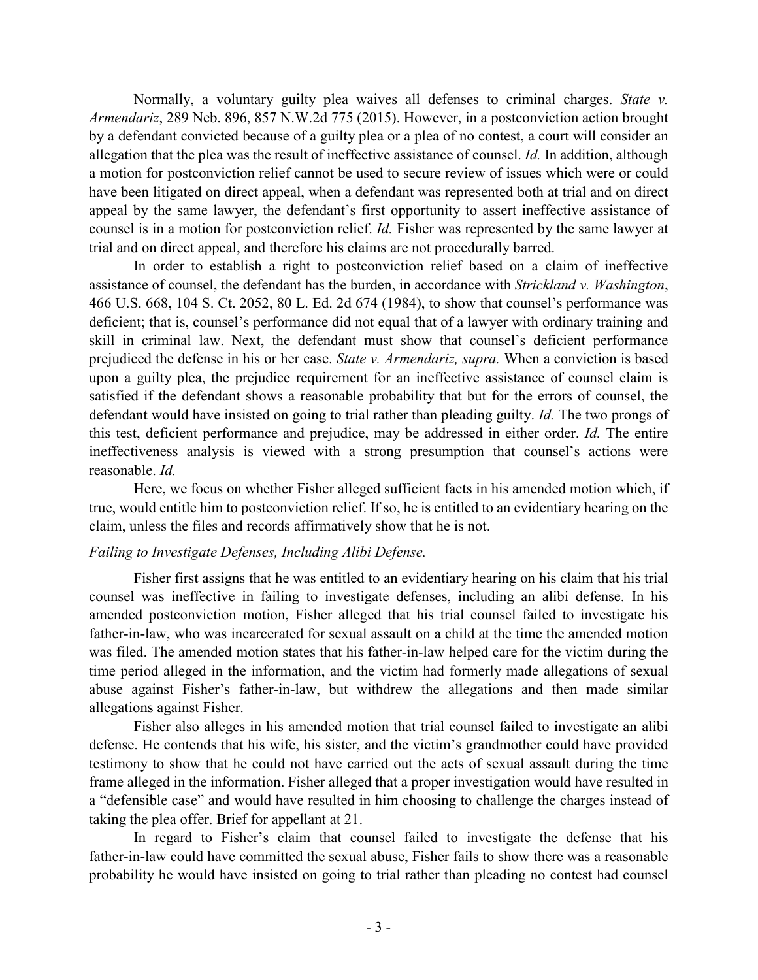Normally, a voluntary guilty plea waives all defenses to criminal charges. *State v. Armendariz*, 289 Neb. 896, 857 N.W.2d 775 (2015). However, in a postconviction action brought by a defendant convicted because of a guilty plea or a plea of no contest, a court will consider an allegation that the plea was the result of ineffective assistance of counsel. *Id.* In addition, although a motion for postconviction relief cannot be used to secure review of issues which were or could have been litigated on direct appeal, when a defendant was represented both at trial and on direct appeal by the same lawyer, the defendant's first opportunity to assert ineffective assistance of counsel is in a motion for postconviction relief. *Id.* Fisher was represented by the same lawyer at trial and on direct appeal, and therefore his claims are not procedurally barred.

In order to establish a right to postconviction relief based on a claim of ineffective assistance of counsel, the defendant has the burden, in accordance with *Strickland v. Washington*, 466 U.S. 668, 104 S. Ct. 2052, 80 L. Ed. 2d 674 (1984), to show that counsel's performance was deficient; that is, counsel's performance did not equal that of a lawyer with ordinary training and skill in criminal law. Next, the defendant must show that counsel's deficient performance prejudiced the defense in his or her case. *State v. Armendariz, supra.* When a conviction is based upon a guilty plea, the prejudice requirement for an ineffective assistance of counsel claim is satisfied if the defendant shows a reasonable probability that but for the errors of counsel, the defendant would have insisted on going to trial rather than pleading guilty. *Id.* The two prongs of this test, deficient performance and prejudice, may be addressed in either order. *Id.* The entire ineffectiveness analysis is viewed with a strong presumption that counsel's actions were reasonable. *Id.*

Here, we focus on whether Fisher alleged sufficient facts in his amended motion which, if true, would entitle him to postconviction relief. If so, he is entitled to an evidentiary hearing on the claim, unless the files and records affirmatively show that he is not.

# *Failing to Investigate Defenses, Including Alibi Defense.*

Fisher first assigns that he was entitled to an evidentiary hearing on his claim that his trial counsel was ineffective in failing to investigate defenses, including an alibi defense. In his amended postconviction motion, Fisher alleged that his trial counsel failed to investigate his father-in-law, who was incarcerated for sexual assault on a child at the time the amended motion was filed. The amended motion states that his father-in-law helped care for the victim during the time period alleged in the information, and the victim had formerly made allegations of sexual abuse against Fisher's father-in-law, but withdrew the allegations and then made similar allegations against Fisher.

Fisher also alleges in his amended motion that trial counsel failed to investigate an alibi defense. He contends that his wife, his sister, and the victim's grandmother could have provided testimony to show that he could not have carried out the acts of sexual assault during the time frame alleged in the information. Fisher alleged that a proper investigation would have resulted in a "defensible case" and would have resulted in him choosing to challenge the charges instead of taking the plea offer. Brief for appellant at 21.

In regard to Fisher's claim that counsel failed to investigate the defense that his father-in-law could have committed the sexual abuse, Fisher fails to show there was a reasonable probability he would have insisted on going to trial rather than pleading no contest had counsel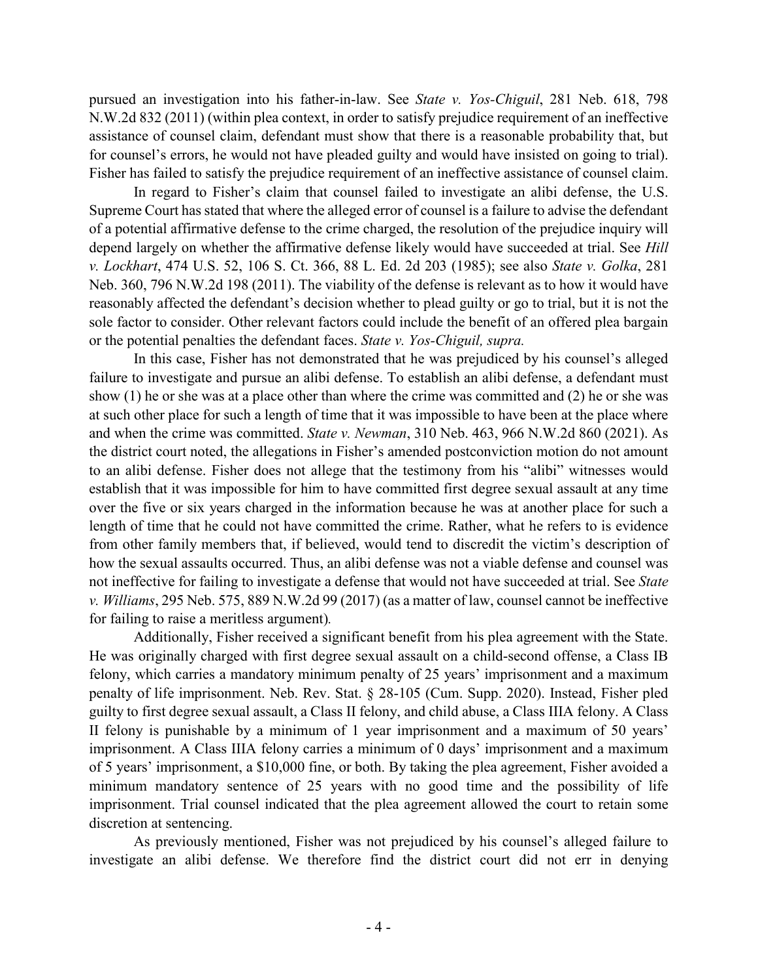pursued an investigation into his father-in-law. See *State v. Yos-Chiguil*, 281 Neb. 618, 798 N.W.2d 832 (2011) (within plea context, in order to satisfy prejudice requirement of an ineffective assistance of counsel claim, defendant must show that there is a reasonable probability that, but for counsel's errors, he would not have pleaded guilty and would have insisted on going to trial). Fisher has failed to satisfy the prejudice requirement of an ineffective assistance of counsel claim.

In regard to Fisher's claim that counsel failed to investigate an alibi defense, the U.S. Supreme Court has stated that where the alleged error of counsel is a failure to advise the defendant of a potential affirmative defense to the crime charged, the resolution of the prejudice inquiry will depend largely on whether the affirmative defense likely would have succeeded at trial. See *Hill v. Lockhart*, 474 U.S. 52, 106 S. Ct. 366, 88 L. Ed. 2d 203 (1985); see also *State v. Golka*, 281 Neb. 360, 796 N.W.2d 198 (2011). The viability of the defense is relevant as to how it would have reasonably affected the defendant's decision whether to plead guilty or go to trial, but it is not the sole factor to consider. Other relevant factors could include the benefit of an offered plea bargain or the potential penalties the defendant faces. *State v. Yos-Chiguil, supra.*

In this case, Fisher has not demonstrated that he was prejudiced by his counsel's alleged failure to investigate and pursue an alibi defense. To establish an alibi defense, a defendant must show (1) he or she was at a place other than where the crime was committed and (2) he or she was at such other place for such a length of time that it was impossible to have been at the place where and when the crime was committed. *State v. Newman*, 310 Neb. 463, 966 N.W.2d 860 (2021). As the district court noted, the allegations in Fisher's amended postconviction motion do not amount to an alibi defense. Fisher does not allege that the testimony from his "alibi" witnesses would establish that it was impossible for him to have committed first degree sexual assault at any time over the five or six years charged in the information because he was at another place for such a length of time that he could not have committed the crime. Rather, what he refers to is evidence from other family members that, if believed, would tend to discredit the victim's description of how the sexual assaults occurred. Thus, an alibi defense was not a viable defense and counsel was not ineffective for failing to investigate a defense that would not have succeeded at trial. See *State v. Williams*, 295 Neb. 575, 889 N.W.2d 99 (2017) (as a matter of law, counsel cannot be ineffective for failing to raise a meritless argument)*.*

Additionally, Fisher received a significant benefit from his plea agreement with the State. He was originally charged with first degree sexual assault on a child-second offense, a Class IB felony, which carries a mandatory minimum penalty of 25 years' imprisonment and a maximum penalty of life imprisonment. Neb. Rev. Stat. § 28-105 (Cum. Supp. 2020). Instead, Fisher pled guilty to first degree sexual assault, a Class II felony, and child abuse, a Class IIIA felony. A Class II felony is punishable by a minimum of 1 year imprisonment and a maximum of 50 years' imprisonment. A Class IIIA felony carries a minimum of 0 days' imprisonment and a maximum of 5 years' imprisonment, a \$10,000 fine, or both. By taking the plea agreement, Fisher avoided a minimum mandatory sentence of 25 years with no good time and the possibility of life imprisonment. Trial counsel indicated that the plea agreement allowed the court to retain some discretion at sentencing.

As previously mentioned, Fisher was not prejudiced by his counsel's alleged failure to investigate an alibi defense. We therefore find the district court did not err in denying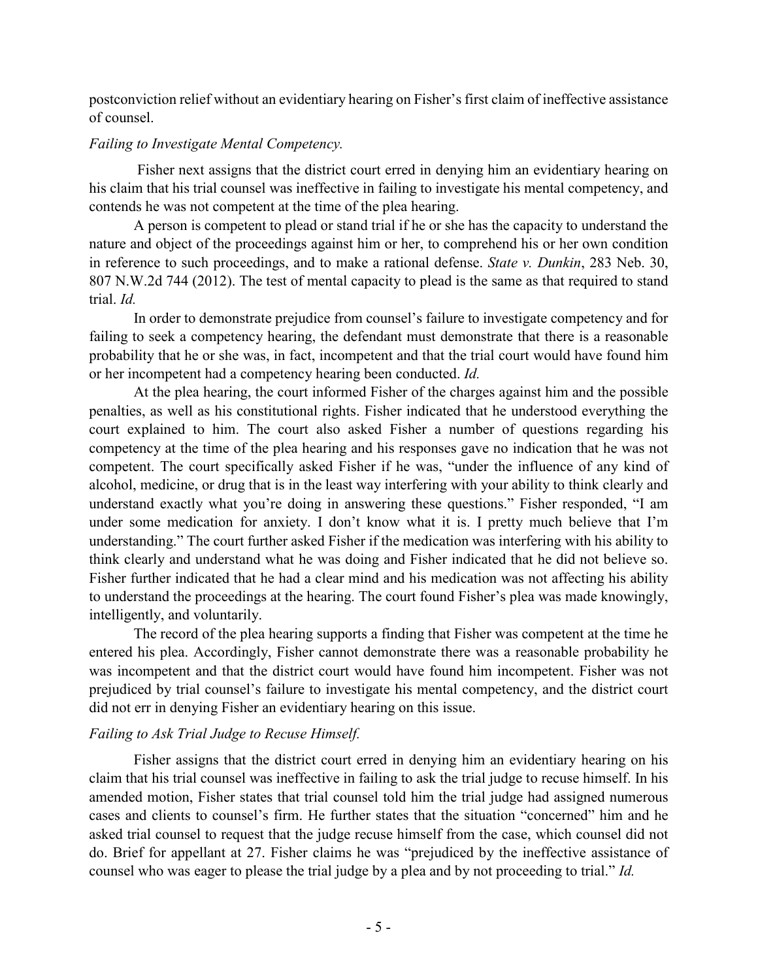postconviction relief without an evidentiary hearing on Fisher's first claim of ineffective assistance of counsel.

# *Failing to Investigate Mental Competency.*

Fisher next assigns that the district court erred in denying him an evidentiary hearing on his claim that his trial counsel was ineffective in failing to investigate his mental competency, and contends he was not competent at the time of the plea hearing.

A person is competent to plead or stand trial if he or she has the capacity to understand the nature and object of the proceedings against him or her, to comprehend his or her own condition in reference to such proceedings, and to make a rational defense. *State v. Dunkin*, 283 Neb. 30, 807 N.W.2d 744 (2012). The test of mental capacity to plead is the same as that required to stand trial. *Id.*

In order to demonstrate prejudice from counsel's failure to investigate competency and for failing to seek a competency hearing, the defendant must demonstrate that there is a reasonable probability that he or she was, in fact, incompetent and that the trial court would have found him or her incompetent had a competency hearing been conducted. *Id.*

At the plea hearing, the court informed Fisher of the charges against him and the possible penalties, as well as his constitutional rights. Fisher indicated that he understood everything the court explained to him. The court also asked Fisher a number of questions regarding his competency at the time of the plea hearing and his responses gave no indication that he was not competent. The court specifically asked Fisher if he was, "under the influence of any kind of alcohol, medicine, or drug that is in the least way interfering with your ability to think clearly and understand exactly what you're doing in answering these questions." Fisher responded, "I am under some medication for anxiety. I don't know what it is. I pretty much believe that I'm understanding." The court further asked Fisher if the medication was interfering with his ability to think clearly and understand what he was doing and Fisher indicated that he did not believe so. Fisher further indicated that he had a clear mind and his medication was not affecting his ability to understand the proceedings at the hearing. The court found Fisher's plea was made knowingly, intelligently, and voluntarily.

The record of the plea hearing supports a finding that Fisher was competent at the time he entered his plea. Accordingly, Fisher cannot demonstrate there was a reasonable probability he was incompetent and that the district court would have found him incompetent. Fisher was not prejudiced by trial counsel's failure to investigate his mental competency, and the district court did not err in denying Fisher an evidentiary hearing on this issue.

# *Failing to Ask Trial Judge to Recuse Himself.*

Fisher assigns that the district court erred in denying him an evidentiary hearing on his claim that his trial counsel was ineffective in failing to ask the trial judge to recuse himself. In his amended motion, Fisher states that trial counsel told him the trial judge had assigned numerous cases and clients to counsel's firm. He further states that the situation "concerned" him and he asked trial counsel to request that the judge recuse himself from the case, which counsel did not do. Brief for appellant at 27. Fisher claims he was "prejudiced by the ineffective assistance of counsel who was eager to please the trial judge by a plea and by not proceeding to trial." *Id.*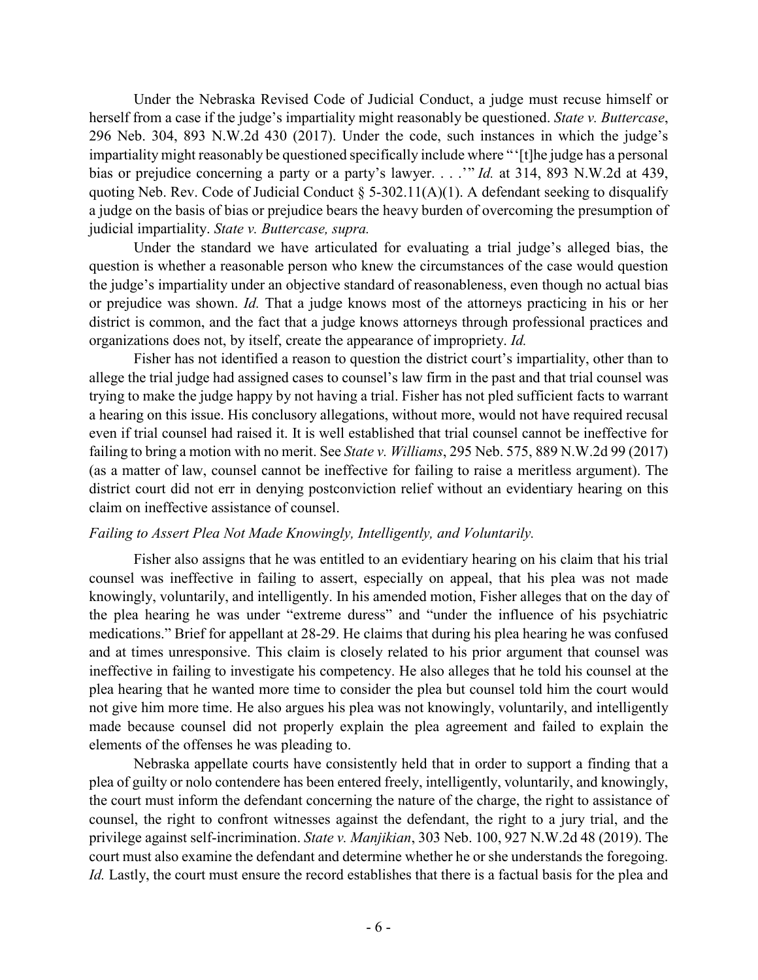Under the Nebraska Revised Code of Judicial Conduct, a judge must recuse himself or herself from a case if the judge's impartiality might reasonably be questioned. *State v. Buttercase*, 296 Neb. 304, 893 N.W.2d 430 (2017). Under the code, such instances in which the judge's impartiality might reasonably be questioned specifically include where "'[t]he judge has a personal bias or prejudice concerning a party or a party's lawyer. . . .'" *Id.* at 314, 893 N.W.2d at 439, quoting Neb. Rev. Code of Judicial Conduct  $\S$  5-302.11(A)(1). A defendant seeking to disqualify a judge on the basis of bias or prejudice bears the heavy burden of overcoming the presumption of judicial impartiality. *State v. Buttercase, supra.*

Under the standard we have articulated for evaluating a trial judge's alleged bias, the question is whether a reasonable person who knew the circumstances of the case would question the judge's impartiality under an objective standard of reasonableness, even though no actual bias or prejudice was shown. *Id.* That a judge knows most of the attorneys practicing in his or her district is common, and the fact that a judge knows attorneys through professional practices and organizations does not, by itself, create the appearance of impropriety. *Id.*

Fisher has not identified a reason to question the district court's impartiality, other than to allege the trial judge had assigned cases to counsel's law firm in the past and that trial counsel was trying to make the judge happy by not having a trial. Fisher has not pled sufficient facts to warrant a hearing on this issue. His conclusory allegations, without more, would not have required recusal even if trial counsel had raised it. It is well established that trial counsel cannot be ineffective for failing to bring a motion with no merit. See *State v. Williams*, 295 Neb. 575, 889 N.W.2d 99 (2017) (as a matter of law, counsel cannot be ineffective for failing to raise a meritless argument). The district court did not err in denying postconviction relief without an evidentiary hearing on this claim on ineffective assistance of counsel.

## *Failing to Assert Plea Not Made Knowingly, Intelligently, and Voluntarily.*

Fisher also assigns that he was entitled to an evidentiary hearing on his claim that his trial counsel was ineffective in failing to assert, especially on appeal, that his plea was not made knowingly, voluntarily, and intelligently. In his amended motion, Fisher alleges that on the day of the plea hearing he was under "extreme duress" and "under the influence of his psychiatric medications." Brief for appellant at 28-29. He claims that during his plea hearing he was confused and at times unresponsive. This claim is closely related to his prior argument that counsel was ineffective in failing to investigate his competency. He also alleges that he told his counsel at the plea hearing that he wanted more time to consider the plea but counsel told him the court would not give him more time. He also argues his plea was not knowingly, voluntarily, and intelligently made because counsel did not properly explain the plea agreement and failed to explain the elements of the offenses he was pleading to.

Nebraska appellate courts have consistently held that in order to support a finding that a plea of guilty or nolo contendere has been entered freely, intelligently, voluntarily, and knowingly, the court must inform the defendant concerning the nature of the charge, the right to assistance of counsel, the right to confront witnesses against the defendant, the right to a jury trial, and the privilege against self-incrimination. *State v. Manjikian*, 303 Neb. 100, 927 N.W.2d 48 (2019). The court must also examine the defendant and determine whether he or she understands the foregoing. *Id.* Lastly, the court must ensure the record establishes that there is a factual basis for the plea and